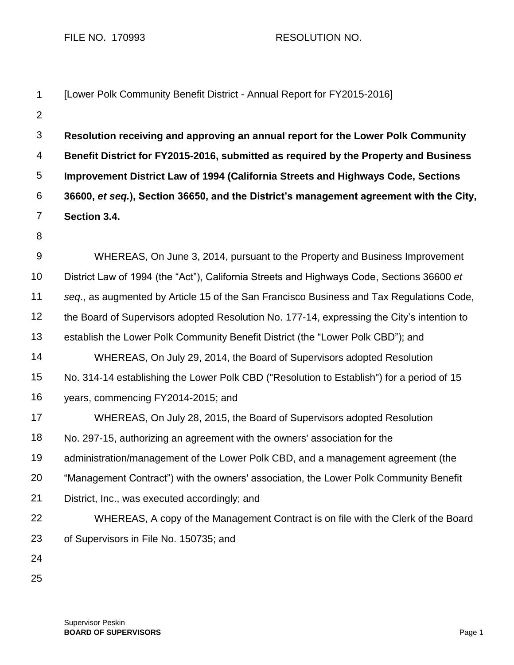FILE NO. 170993 RESOLUTION NO.

| 1               | [Lower Polk Community Benefit District - Annual Report for FY2015-2016]                    |
|-----------------|--------------------------------------------------------------------------------------------|
| $\overline{2}$  |                                                                                            |
| 3               | Resolution receiving and approving an annual report for the Lower Polk Community           |
| 4               | Benefit District for FY2015-2016, submitted as required by the Property and Business       |
| 5               | Improvement District Law of 1994 (California Streets and Highways Code, Sections           |
| 6               | 36600, et seq.), Section 36650, and the District's management agreement with the City,     |
| 7               | Section 3.4.                                                                               |
| 8               |                                                                                            |
| 9               | WHEREAS, On June 3, 2014, pursuant to the Property and Business Improvement                |
| 10              | District Law of 1994 (the "Act"), California Streets and Highways Code, Sections 36600 et  |
| 11              | seq., as augmented by Article 15 of the San Francisco Business and Tax Regulations Code,   |
| 12 <sub>2</sub> | the Board of Supervisors adopted Resolution No. 177-14, expressing the City's intention to |
| 13              | establish the Lower Polk Community Benefit District (the "Lower Polk CBD"); and            |
| 14              | WHEREAS, On July 29, 2014, the Board of Supervisors adopted Resolution                     |
| 15              | No. 314-14 establishing the Lower Polk CBD ("Resolution to Establish") for a period of 15  |
| 16              | years, commencing FY2014-2015; and                                                         |
| 17              | WHEREAS, On July 28, 2015, the Board of Supervisors adopted Resolution                     |
| 18              | No. 297-15, authorizing an agreement with the owners' association for the                  |
| 19              | administration/management of the Lower Polk CBD, and a management agreement (the           |
| 20              | "Management Contract") with the owners' association, the Lower Polk Community Benefit      |
| 21              | District, Inc., was executed accordingly; and                                              |
| 22              | WHEREAS, A copy of the Management Contract is on file with the Clerk of the Board          |
| 23              | of Supervisors in File No. 150735; and                                                     |
| 24              |                                                                                            |
| 25              |                                                                                            |